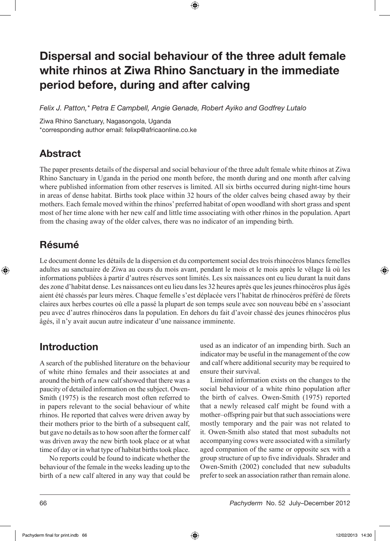# Dispersal and social behaviour of the three adult female white rhinos at Ziwa Rhino Sanctuary in the immediate period before, during and after calving

↔

*Felix J. Patton,\* Petra E Campbell, Angie Genade, Robert Ayiko and Godfrey Lutalo*

Ziwa Rhino Sanctuary, Nagasongola, Uganda \*corresponding author email: felixp@africaonline.co.ke

# Abstract

The paper presents details of the dispersal and social behaviour of the three adult female white rhinos at Ziwa Rhino Sanctuary in Uganda in the period one month before, the month during and one month after calving where published information from other reserves is limited. All six births occurred during night-time hours in areas of dense habitat. Births took place within 32 hours of the older calves being chased away by their mothers. Each female moved within the rhinos' preferred habitat of open woodland with short grass and spent most of her time alone with her new calf and little time associating with other rhinos in the population. Apart from the chasing away of the older calves, there was no indicator of an impending birth.

# Résumé

⊕

Le document donne les détails de la dispersion et du comportement social des trois rhinocéros blancs femelles adultes au sanctuaire de Ziwa au cours du mois avant, pendant le mois et le mois après le vêlage là où les informations publiées à partir d'autres réserves sont limités. Les six naissances ont eu lieu durant la nuit dans des zone d'habitat dense. Les naissances ont eu lieu dans les 32 heures après que les jeunes rhinocéros plus âgés aient été chassés par leurs mères. Chaque femelle s'est déplacée vers l'habitat de rhinocéros préféré de fôrets claires aux herbes courtes où elle a passé la plupart de son temps seule avec son nouveau bébé en s'associant peu avec d'autres rhinocéros dans la population. En dehors du fait d'avoir chassé des jeunes rhinocéros plus âgés, il n'y avait aucun autre indicateur d'une naissance imminente.

# Introduction

A search of the published literature on the behaviour of white rhino females and their associates at and around the birth of a new calf showed that there was a paucity of detailed information on the subject. Owen-Smith (1975) is the research most often referred to in papers relevant to the social behaviour of white rhinos. He reported that calves were driven away by their mothers prior to the birth of a subsequent calf, but gave no details as to how soon after the former calf was driven away the new birth took place or at what time of day or in what type of habitat births took place.

 No reports could be found to indicate whether the behaviour of the female in the weeks leading up to the birth of a new calf altered in any way that could be

used as an indicator of an impending birth. Such an indicator may be useful in the management of the cow and calf where additional security may be required to ensure their survival.

 Limited information exists on the changes to the social behaviour of a white rhino population after the birth of calves. Owen-Smith (1975) reported that a newly released calf might be found with a mother–offspring pair but that such associations were mostly temporary and the pair was not related to it. Owen-Smith also stated that most subadults not accompanying cows were associated with a similarly aged companion of the same or opposite sex with a group structure of up to five individuals. Shrader and Owen-Smith (2002) concluded that new subadults prefer to seek an association rather than remain alone.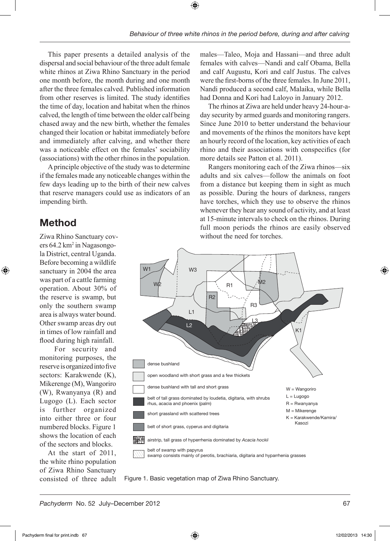⊕

This paper presents a detailed analysis of the dispersal and social behaviour of the three adult female white rhinos at Ziwa Rhino Sanctuary in the period one month before, the month during and one month after the three females calved. Published information from other reserves is limited. The study identifies the time of day, location and habitat when the rhinos calved, the length of time between the older calf being chased away and the new birth, whether the females changed their location or habitat immediately before and immediately after calving, and whether there was a noticeable effect on the females' sociability (associations) with the other rhinos in the population.

A principle objective of the study was to determine if the females made any noticeable changes within the few days leading up to the birth of their new calves that reserve managers could use as indicators of an impending birth.

# Method

⊕

Ziwa Rhino Sanctuary covers 64.2 km<sup>2</sup> in Nagasongola District, central Uganda. Before becoming a wildlife sanctuary in 2004 the area was part of a cattle farming operation. About 30% of the reserve is swamp, but only the southern swamp area is always water bound. Other swamp areas dry out in times of low rainfall and flood during high rainfall.

 For security and monitoring purposes, the reserve is organized into five sectors: Karakwende (K), Mikerenge (M), Wangoriro (W), Rwanyanya (R) and Lugogo (L). Each sector is further organized into either three or four numbered blocks. Figure 1 shows the location of each of the sectors and blocks.

At the start of 2011, the white rhino population of Ziwa Rhino Sanctuary consisted of three adult males—Taleo, Moja and Hassani—and three adult females with calves—Nandi and calf Obama, Bella and calf Augustu, Kori and calf Justus. The calves were the first-borns of the three females. In June 2011, Nandi produced a second calf, Malaika, while Bella had Donna and Kori had Laloyo in January 2012.

The rhinos at Ziwa are held under heavy 24-hour-aday security by armed guards and monitoring rangers. Since June 2010 to better understand the behaviour and movements of the rhinos the monitors have kept an hourly record of the location, key activities of each rhino and their associations with conspecifics (for more details see Patton et al. 2011).

Rangers monitoring each of the Ziwa rhinos—six adults and six calves—follow the animals on foot from a distance but keeping them in sight as much as possible. During the hours of darkness, rangers have torches, which they use to observe the rhinos whenever they hear any sound of activity, and at least at 15-minute intervals to check on the rhinos. During full moon periods the rhinos are easily observed without the need for torches.



Figure 1. Basic vegetation map of Ziwa Rhino Sanctuary.

*Pachyderm* No. 52 July–December 2012 67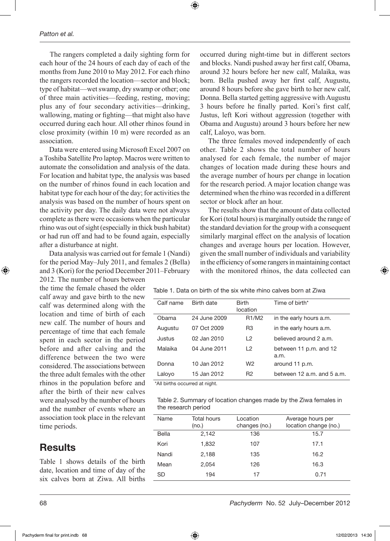The rangers completed a daily sighting form for each hour of the 24 hours of each day of each of the months from June 2010 to May 2012. For each rhino the rangers recorded the location—sector and block; type of habitat—wet swamp, dry swamp or other; one of three main activities—feeding, resting, moving; plus any of four secondary activities—drinking, wallowing, mating or fighting—that might also have occurred during each hour. All other rhinos found in close proximity (within 10 m) were recorded as an association.

 Data were entered using Microsoft Excel 2007 on a Toshiba Satellite Pro laptop. Macros were written to automate the consolidation and analysis of the data. For location and habitat type, the analysis was based on the number of rhinos found in each location and habitat type for each hour of the day; for activities the analysis was based on the number of hours spent on the activity per day. The daily data were not always complete as there were occasions when the particular rhino was out of sight (especially in thick bush habitat) or had run off and had to be found again, especially after a disturbance at night.

 Data analysis was carried out for female 1 (Nandi) for the period May–July 2011, and females 2 (Bella) and 3 (Kori) for the period December 2011–February

2012. The number of hours between the time the female chased the older calf away and gave birth to the new calf was determined along with the location and time of birth of each new calf. The number of hours and percentage of time that each female spent in each sector in the period before and after calving and the difference between the two were considered. The associations between the three adult females with the other rhinos in the population before and after the birth of their new calves were analysed by the number of hours and the number of events where an association took place in the relevant time periods.

## Results

Table 1 shows details of the birth date, location and time of day of the six calves born at Ziwa. All births

⊕

occurred during night-time but in different sectors and blocks. Nandi pushed away her first calf, Obama, around 32 hours before her new calf, Malaika, was born. Bella pushed away her first calf, Augustu, around 8 hours before she gave birth to her new calf, Donna. Bella started getting aggressive with Augustu 3 hours before he finally parted. Kori's first calf, Justus, left Kori without aggression (together with Obama and Augustu) around 3 hours before her new calf, Laloyo, was born.

The three females moved independently of each other. Table 2 shows the total number of hours analysed for each female, the number of major changes of location made during these hours and the average number of hours per change in location for the research period. A major location change was determined when the rhino was recorded in a different sector or block after an hour.

The results show that the amount of data collected for Kori (total hours) is marginally outside the range of the standard deviation for the group with a consequent similarly marginal effect on the analysis of location changes and average hours per location. However, given the small number of individuals and variability in the efficiency of some rangers in maintaining contact with the monitored rhinos, the data collected can

Table 1. Data on birth of the six white rhino calves born at Ziwa

| Calf name | Birth date   | <b>Birth</b><br>location       | Time of birth*                 |
|-----------|--------------|--------------------------------|--------------------------------|
| Obama     | 24 June 2009 | R <sub>1</sub> /M <sub>2</sub> | in the early hours a.m.        |
| Augustu   | 07 Oct 2009  | R <sub>3</sub>                 | in the early hours a.m.        |
| Justus    | 02 Jan 2010  | L2                             | believed around 2 a.m.         |
| Malaika   | 04 June 2011 | L <sub>2</sub>                 | between 11 p.m. and 12<br>a.m. |
| Donna     | 10 Jan 2012  | W <sub>2</sub>                 | around 11 p.m.                 |
| Laloyo    | 15 Jan 2012  | R <sub>2</sub>                 | between 12 a.m. and 5 a.m.     |
|           |              |                                |                                |

\*All births occurred at night.

↔

|                     | Table 2. Summary of location changes made by the Ziwa females in |  |  |  |
|---------------------|------------------------------------------------------------------|--|--|--|
| the research period |                                                                  |  |  |  |

| Name  | <b>Total hours</b><br>(no.) | Location<br>changes (no.) | Average hours per<br>location change (no.) |
|-------|-----------------------------|---------------------------|--------------------------------------------|
| Bella | 2.142                       | 136                       | 15.7                                       |
| Kori  | 1.832                       | 107                       | 17.1                                       |
| Nandi | 2.188                       | 135                       | 16.2                                       |
| Mean  | 2.054                       | 126                       | 16.3                                       |
| SD    | 194                         | 17                        | 0.71                                       |

68 *Pachyderm* No. 52 July–December 2012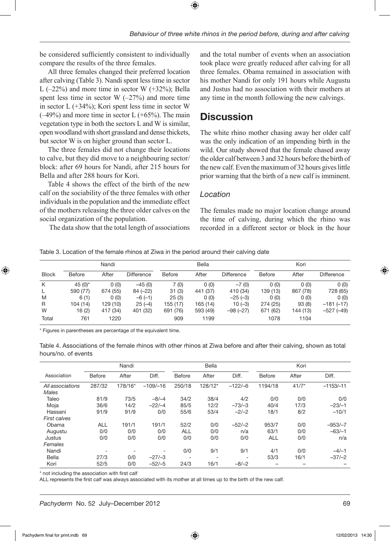⊕

be considered sufficiently consistent to individually compare the results of the three females.

All three females changed their preferred location after calving (Table 3). Nandi spent less time in sector L  $(-22%)$  and more time in sector W  $(+32%)$ ; Bella spent less time in sector  $W$  ( $-27\%$ ) and more time in sector L (+34%); Kori spent less time in sector W  $(-49%)$  and more time in sector L  $(+65%)$ . The main vegetation type in both the sectors L and W is similar, open woodland with short grassland and dense thickets, but sector W is on higher ground than sector L.

The three females did not change their locations to calve, but they did move to a neighbouring sector/ block: after 69 hours for Nandi, after 215 hours for Bella and after 288 hours for Kori.

Table 4 shows the effect of the birth of the new calf on the sociability of the three females with other individuals in the population and the immediate effect of the mothers releasing the three older calves on the social organization of the population.

The data show that the total length of associations

and the total number of events when an association took place were greatly reduced after calving for all three females. Obama remained in association with his mother Nandi for only 191 hours while Augustu and Justus had no association with their mothers at any time in the month following the new calvings.

## Discussion

The white rhino mother chasing away her older calf was the only indication of an impending birth in the wild. Our study showed that the female chased away the older calf between 3 and 32 hours before the birth of the new calf. Even the maximum of 32 hours gives little prior warning that the birth of a new calf is imminent.

#### *Location*

The females made no major location change around the time of calving, during which the rhino was recorded in a different sector or block in the hour

Table 3. Location of the female rhinos at Ziwa in the period around their calving date

|              | Nandi      |          |                   | <b>Bella</b>  |          |                   | Kori          |          |                   |
|--------------|------------|----------|-------------------|---------------|----------|-------------------|---------------|----------|-------------------|
| <b>Block</b> | Before     | After    | <b>Difference</b> | <b>Before</b> | After    | <b>Difference</b> | <b>Before</b> | After    | <b>Difference</b> |
| K            | 45 $(0)^*$ | 0(0)     | $-45(0)$          | 7(0)          | 0(0)     | $-7(0)$           | 0(0)          | 0(0)     | 0(0)              |
| L            | 590 (77)   | 674 (55) | $84 (-22)$        | 31(3)         | 441 (37) | 410 (34)          | 139 (13)      | 867 (78) | 728 (65)          |
| M            | 6(1)       | 0(0)     | $-6(-1)$          | 25(3)         | 0(0)     | $-25(-3)$         | 0(0)          | 0(0)     | 0(0)              |
| R            | 104 (14)   | 129 (10) | $25(-4)$          | 155 (17)      | 165 (14) | $10(-3)$          | 274 (25)      | 93(8)    | $-181(-17)$       |
| W            | 16(2)      | 417 (34) | 401 (32)          | 691 (76)      | 593 (49) | $-98 (-27)$       | 671 (62)      | 144 (13) | $-527(-49)$       |
| Total        | 761        | 1220     |                   | 909           | 1199     |                   | 1078          | 1104     |                   |

\* Figures in parentheses are percentage of the equivalent time.

Table 4. Associations of the female rhinos with other rhinos at Ziwa before and after their calving, shown as total hours/no. of events

|                           | Nandi         |                          |            | <b>Bella</b>             |                          |                 | Kori       |         |             |
|---------------------------|---------------|--------------------------|------------|--------------------------|--------------------------|-----------------|------------|---------|-------------|
| Association               | <b>Before</b> | After                    | Diff.      | Before                   | After                    | Diff.           | Before     | After   | Diff.       |
| All associations<br>Males | 287/32        | 178/16*                  | $-109/-16$ | 250/18                   | 128/12*                  | $-122/-6$       | 1194/18    | $41/7*$ | $-1153/-11$ |
| Taleo                     | 81/9          | 73/5                     | $-8/-4$    | 34/2                     | 38/4                     | 4/2             | 0/0        | 0/0     | 0/0         |
| Moja                      | 36/6          | 14/2                     | $-22/-4$   | 85/5                     | 12/2                     | $-73/-3$        | 40/4       | 17/3    | $-23/-1$    |
| Hassani                   | 91/9          | 91/9                     | 0/0        | 55/6                     | 53/4                     | $-2/-2$         | 18/1       | 8/2     | $-10/1$     |
| <b>First calves</b>       |               |                          |            |                          |                          |                 |            |         |             |
| Obama                     | <b>ALL</b>    | 191/1                    | 191/1      | 52/2                     | 0/0                      | $-52/-2$        | 953/7      | 0/0     | $-953/-7$   |
| Augustu                   | 0/0           | 0/0                      | 0/0        | <b>ALL</b>               | 0/0                      | n/a             | 63/1       | 0/0     | $-63/-1$    |
| Justus                    | 0/0           | 0/0                      | 0/0        | 0/0                      | 0/0                      | 0/0             | <b>ALL</b> | 0/0     | n/a         |
| Females                   |               |                          |            |                          |                          |                 |            |         |             |
| Nandi                     |               | $\overline{\phantom{a}}$ |            | 0/0                      | 9/1                      | 9/1             | 4/1        | 0/0     | $-4/-1$     |
| Bella                     | 27/3          | 0/0                      | $-27/ -3$  | $\overline{\phantom{a}}$ | $\overline{\phantom{0}}$ | $\qquad \qquad$ | 53/3       | 16/1    | $-37/-2$    |
| Kori                      | 52/5          | 0/0                      | $-52/-5$   | 24/3                     | 16/1                     | $-8/-2$         |            |         |             |

\* not including the association with first calf

ALL represents the first calf was always associated with its mother at all times up to the birth of the new calf.

⊕

 $\Leftrightarrow$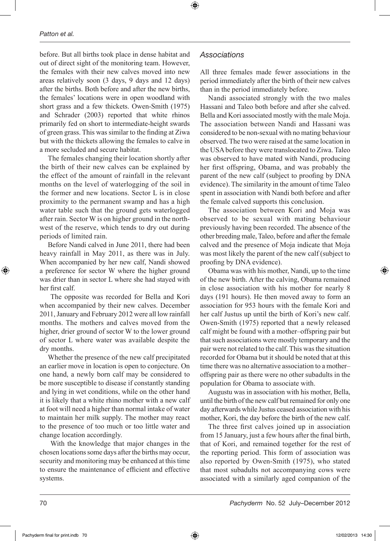before. But all births took place in dense habitat and out of direct sight of the monitoring team. However, the females with their new calves moved into new areas relatively soon (3 days, 9 days and 12 days) after the births. Both before and after the new births, the females' locations were in open woodland with short grass and a few thickets. Owen-Smith (1975) and Schrader (2003) reported that white rhinos primarily fed on short to intermediate-height swards of green grass. This was similar to the finding at Ziwa but with the thickets allowing the females to calve in a more secluded and secure habitat.

The females changing their location shortly after the birth of their new calves can be explained by the effect of the amount of rainfall in the relevant months on the level of waterlogging of the soil in the former and new locations. Sector L is in close proximity to the permanent swamp and has a high water table such that the ground gets waterlogged after rain. Sector W is on higher ground in the northwest of the reserve, which tends to dry out during periods of limited rain.

Before Nandi calved in June 2011, there had been heavy rainfall in May 2011, as there was in July. When accompanied by her new calf, Nandi showed a preference for sector W where the higher ground was drier than in sector L where she had stayed with her first calf.

 The opposite was recorded for Bella and Kori when accompanied by their new calves. December 2011, January and February 2012 were all low rainfall months. The mothers and calves moved from the higher, drier ground of sector W to the lower ground of sector L where water was available despite the dry months.

Whether the presence of the new calf precipitated an earlier move in location is open to conjecture. On one hand, a newly born calf may be considered to be more susceptible to disease if constantly standing and lying in wet conditions, while on the other hand it is likely that a white rhino mother with a new calf at foot will need a higher than normal intake of water to maintain her milk supply. The mother may react to the presence of too much or too little water and change location accordingly.

 With the knowledge that major changes in the chosen locations some days after the births may occur, security and monitoring may be enhanced at this time to ensure the maintenance of efficient and effective systems.

#### *Associations*

⊕

All three females made fewer associations in the period immediately after the birth of their new calves than in the period immediately before.

Nandi associated strongly with the two males Hassani and Taleo both before and after she calved. Bella and Kori associated mostly with the male Moja. The association between Nandi and Hassani was considered to be non-sexual with no mating behaviour observed. The two were raised at the same location in the USA before they were translocated to Ziwa. Taleo was observed to have mated with Nandi, producing her first offspring, Obama, and was probably the parent of the new calf (subject to proofing by DNA evidence). The similarity in the amount of time Taleo spent in association with Nandi both before and after the female calved supports this conclusion.

The association between Kori and Moja was observed to be sexual with mating behaviour previously having been recorded. The absence of the other breeding male, Taleo, before and after the female calved and the presence of Moja indicate that Moja was most likely the parent of the new calf (subject to proofing by DNA evidence).

Obama was with his mother, Nandi, up to the time of the new birth. After the calving, Obama remained in close association with his mother for nearly 8 days (191 hours). He then moved away to form an association for 953 hours with the female Kori and her calf Justus up until the birth of Kori's new calf. Owen-Smith (1975) reported that a newly released calf might be found with a mother–offspring pair but that such associations were mostly temporary and the pair were not related to the calf. This was the situation recorded for Obama but it should be noted that at this time there was no alternative association to a mother– offspring pair as there were no other subadults in the population for Obama to associate with.

Augustu was in association with his mother, Bella, until the birth of the new calf but remained for only one day afterwards while Justus ceased association with his mother, Kori, the day before the birth of the new calf.

The three first calves joined up in association from 15 January, just a few hours after the final birth, that of Kori, and remained together for the rest of the reporting period. This form of association was also reported by Owen-Smith (1975), who stated that most subadults not accompanying cows were associated with a similarly aged companion of the

⊕